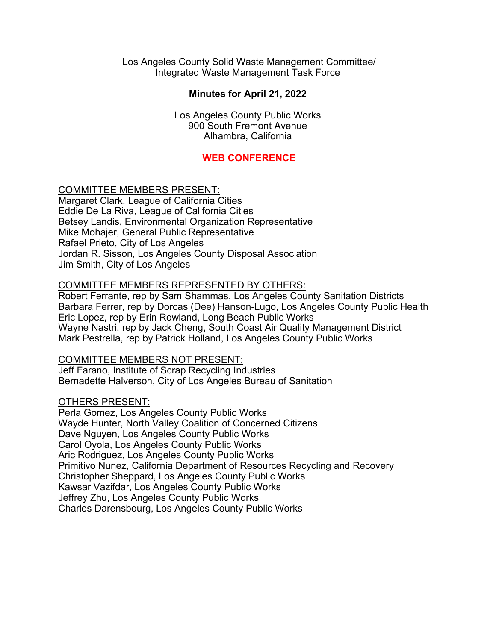Los Angeles County Solid Waste Management Committee/ Integrated Waste Management Task Force

## **Minutes for April 21, 2022**

Los Angeles County Public Works 900 South Fremont Avenue Alhambra, California

### **WEB CONFERENCE**

#### COMMITTEE MEMBERS PRESENT:

Margaret Clark, League of California Cities Eddie De La Riva, League of California Cities Betsey Landis, Environmental Organization Representative Mike Mohajer, General Public Representative Rafael Prieto, City of Los Angeles Jordan R. Sisson, Los Angeles County Disposal Association Jim Smith, City of Los Angeles

#### COMMITTEE MEMBERS REPRESENTED BY OTHERS:

Robert Ferrante, rep by Sam Shammas, Los Angeles County Sanitation Districts Barbara Ferrer, rep by Dorcas (Dee) Hanson-Lugo, Los Angeles County Public Health Eric Lopez, rep by Erin Rowland, Long Beach Public Works Wayne Nastri, rep by Jack Cheng, South Coast Air Quality Management District Mark Pestrella, rep by Patrick Holland, Los Angeles County Public Works

#### COMMITTEE MEMBERS NOT PRESENT:

Jeff Farano, Institute of Scrap Recycling Industries Bernadette Halverson, City of Los Angeles Bureau of Sanitation

#### OTHERS PRESENT:

Perla Gomez, Los Angeles County Public Works Wayde Hunter, North Valley Coalition of Concerned Citizens Dave Nguyen, Los Angeles County Public Works Carol Oyola, Los Angeles County Public Works Aric Rodriguez, Los Angeles County Public Works Primitivo Nunez, California Department of Resources Recycling and Recovery Christopher Sheppard, Los Angeles County Public Works Kawsar Vazifdar, Los Angeles County Public Works Jeffrey Zhu, Los Angeles County Public Works Charles Darensbourg, Los Angeles County Public Works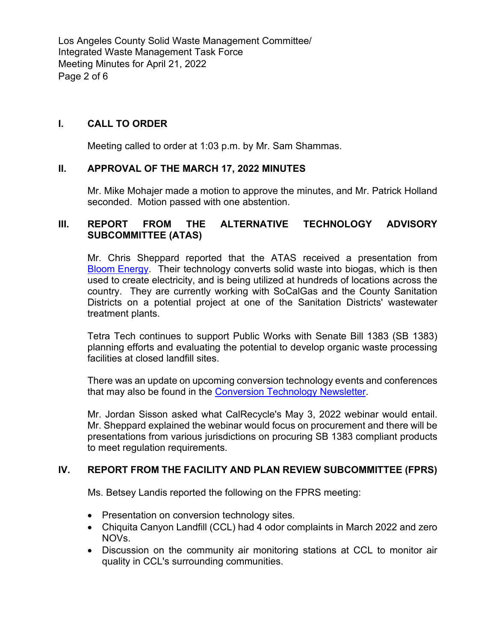Los Angeles County Solid Waste Management Committee/ Integrated Waste Management Task Force Meeting Minutes for April 21, 2022 Page 2 of 6

# **I. CALL TO ORDER**

Meeting called to order at 1:03 p.m. by Mr. Sam Shammas.

## **II. APPROVAL OF THE MARCH 17, 2022 MINUTES**

Mr. Mike Mohajer made a motion to approve the minutes, and Mr. Patrick Holland seconded. Motion passed with one abstention.

## **III. REPORT FROM THE ALTERNATIVE TECHNOLOGY ADVISORY SUBCOMMITTEE (ATAS)**

Mr. Chris Sheppard reported that the ATAS received a presentation from Bloom [Energy.](https://pw.lacounty.gov/epd/tf/Attachments/Minutes_Attachments/2022_Attachments/Bloom_Energy_for_LACSD-April_2022.pdf) Their technology converts solid waste into biogas, which is then used to create electricity, and is being utilized at hundreds of locations across the country. They are currently working with SoCalGas and the County Sanitation Districts on a potential project at one of the Sanitation Districts' wastewater treatment plants.

Tetra Tech continues to support Public Works with Senate Bill 1383 (SB 1383) planning efforts and evaluating the potential to develop organic waste processing facilities at closed landfill sites.

There was an update on upcoming conversion technology events and conferences that may also be found in the [Conversion Technology Newsletter.](https://pw.lacounty.gov/epd/SoCalconversion/News?month=1&year=2022)

Mr. Jordan Sisson asked what CalRecycle's May 3, 2022 webinar would entail. Mr. Sheppard explained the webinar would focus on procurement and there will be presentations from various jurisdictions on procuring SB 1383 compliant products to meet regulation requirements.

## **IV. REPORT FROM THE FACILITY AND PLAN REVIEW SUBCOMMITTEE (FPRS)**

Ms. Betsey Landis reported the following on the FPRS meeting:

- Presentation on conversion technology sites.
- Chiquita Canyon Landfill (CCL) had 4 odor complaints in March 2022 and zero NOVs.
- Discussion on the community air monitoring stations at CCL to monitor air quality in CCL's surrounding communities.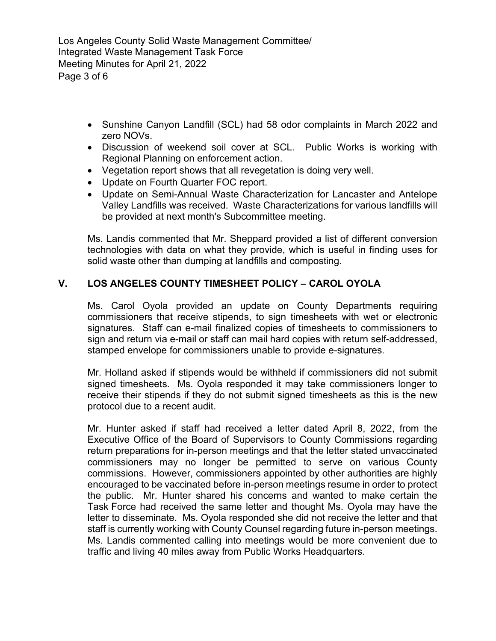Los Angeles County Solid Waste Management Committee/ Integrated Waste Management Task Force Meeting Minutes for April 21, 2022 Page 3 of 6

- Sunshine Canyon Landfill (SCL) had 58 odor complaints in March 2022 and zero NOVs.
- Discussion of weekend soil cover at SCL. Public Works is working with Regional Planning on enforcement action.
- Vegetation report shows that all revegetation is doing very well.
- Update on Fourth Quarter FOC report.
- Update on Semi-Annual Waste Characterization for Lancaster and Antelope Valley Landfills was received. Waste Characterizations for various landfills will be provided at next month's Subcommittee meeting.

Ms. Landis commented that Mr. Sheppard provided a list of different conversion technologies with data on what they provide, which is useful in finding uses for solid waste other than dumping at landfills and composting.

## **V. LOS ANGELES COUNTY TIMESHEET POLICY – CAROL OYOLA**

Ms. Carol Oyola provided an update on County Departments requiring commissioners that receive stipends, to sign timesheets with wet or electronic signatures. Staff can e-mail finalized copies of timesheets to commissioners to sign and return via e-mail or staff can mail hard copies with return self-addressed, stamped envelope for commissioners unable to provide e-signatures.

Mr. Holland asked if stipends would be withheld if commissioners did not submit signed timesheets. Ms. Oyola responded it may take commissioners longer to receive their stipends if they do not submit signed timesheets as this is the new protocol due to a recent audit.

Mr. Hunter asked if staff had received a letter dated April 8, 2022, from the Executive Office of the Board of Supervisors to County Commissions regarding return preparations for in-person meetings and that the letter stated unvaccinated commissioners may no longer be permitted to serve on various County commissions. However, commissioners appointed by other authorities are highly encouraged to be vaccinated before in-person meetings resume in order to protect the public. Mr. Hunter shared his concerns and wanted to make certain the Task Force had received the same letter and thought Ms. Oyola may have the letter to disseminate. Ms. Oyola responded she did not receive the letter and that staff is currently working with County Counsel regarding future in-person meetings. Ms. Landis commented calling into meetings would be more convenient due to traffic and living 40 miles away from Public Works Headquarters.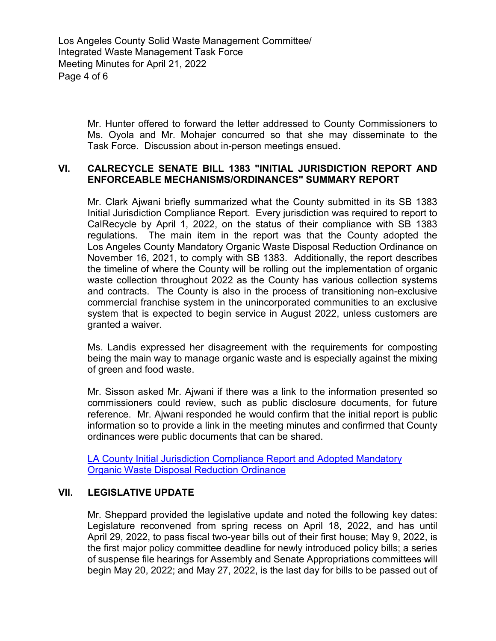Los Angeles County Solid Waste Management Committee/ Integrated Waste Management Task Force Meeting Minutes for April 21, 2022 Page 4 of 6

> Mr. Hunter offered to forward the letter addressed to County Commissioners to Ms. Oyola and Mr. Mohajer concurred so that she may disseminate to the Task Force. Discussion about in-person meetings ensued.

### **VI. CALRECYCLE SENATE BILL 1383 "INITIAL JURISDICTION REPORT AND ENFORCEABLE MECHANISMS/ORDINANCES" SUMMARY REPORT**

Mr. Clark Ajwani briefly summarized what the County submitted in its SB 1383 Initial Jurisdiction Compliance Report. Every jurisdiction was required to report to CalRecycle by April 1, 2022, on the status of their compliance with SB 1383 regulations. The main item in the report was that the County adopted the Los Angeles County Mandatory Organic Waste Disposal Reduction Ordinance on November 16, 2021, to comply with SB 1383. Additionally, the report describes the timeline of where the County will be rolling out the implementation of organic waste collection throughout 2022 as the County has various collection systems and contracts. The County is also in the process of transitioning non-exclusive commercial franchise system in the unincorporated communities to an exclusive system that is expected to begin service in August 2022, unless customers are granted a waiver.

Ms. Landis expressed her disagreement with the requirements for composting being the main way to manage organic waste and is especially against the mixing of green and food waste.

Mr. Sisson asked Mr. Ajwani if there was a link to the information presented so commissioners could review, such as public disclosure documents, for future reference. Mr. Ajwani responded he would confirm that the initial report is public information so to provide a link in the meeting minutes and confirmed that County ordinances were public documents that can be shared.

LA [County Initial Jurisdiction Compliance Report and Adopted Mandatory](https://pw.lacounty.gov/epd/tf/Attachments/Minutes_Attachments/2022_Attachments/LA_County_Initial_Jurisdiction_Compliance_Report_and_Adopted_Mandatory_Organic_Waste_Disposal_Reduction_Ordinance.pdf)  [Organic Waste Disposal Reduction Ordinance](https://pw.lacounty.gov/epd/tf/Attachments/Minutes_Attachments/2022_Attachments/LA_County_Initial_Jurisdiction_Compliance_Report_and_Adopted_Mandatory_Organic_Waste_Disposal_Reduction_Ordinance.pdf)

## **VII. LEGISLATIVE UPDATE**

Mr. Sheppard provided the legislative update and noted the following key dates: Legislature reconvened from spring recess on April 18, 2022, and has until April 29, 2022, to pass fiscal two-year bills out of their first house; May 9, 2022, is the first major policy committee deadline for newly introduced policy bills; a series of suspense file hearings for Assembly and Senate Appropriations committees will begin May 20, 2022; and May 27, 2022, is the last day for bills to be passed out of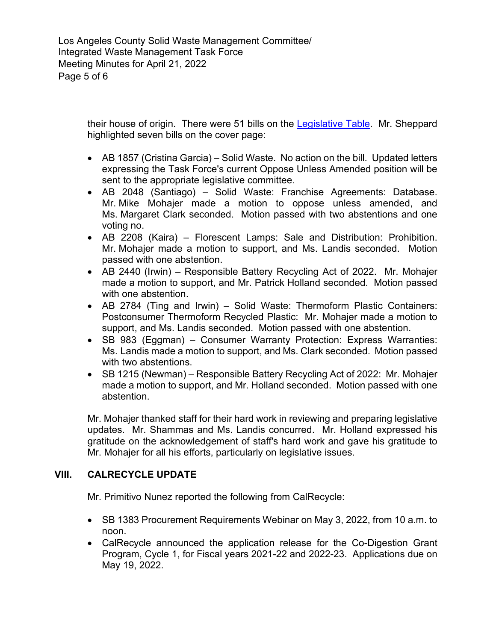Los Angeles County Solid Waste Management Committee/ Integrated Waste Management Task Force Meeting Minutes for April 21, 2022 Page 5 of 6

> their house of origin. There were 51 bills on the [Legislative Table.](https://pw.lacounty.gov/epd/tf/Attachments/LegislativeTables/LgsltvTbl_04-21-22.pdf) Mr. Sheppard highlighted seven bills on the cover page:

- AB 1857 (Cristina Garcia) Solid Waste. No action on the bill. Updated letters expressing the Task Force's current Oppose Unless Amended position will be sent to the appropriate legislative committee.
- AB 2048 (Santiago) Solid Waste: Franchise Agreements: Database. Mr. Mike Mohajer made a motion to oppose unless amended, and Ms. Margaret Clark seconded. Motion passed with two abstentions and one voting no.
- AB 2208 (Kaira) Florescent Lamps: Sale and Distribution: Prohibition. Mr. Mohajer made a motion to support, and Ms. Landis seconded. Motion passed with one abstention.
- AB 2440 (Irwin) Responsible Battery Recycling Act of 2022. Mr. Mohajer made a motion to support, and Mr. Patrick Holland seconded. Motion passed with one abstention.
- AB 2784 (Ting and Irwin) Solid Waste: Thermoform Plastic Containers: Postconsumer Thermoform Recycled Plastic: Mr. Mohajer made a motion to support, and Ms. Landis seconded. Motion passed with one abstention.
- SB 983 (Eggman) Consumer Warranty Protection: Express Warranties: Ms. Landis made a motion to support, and Ms. Clark seconded. Motion passed with two abstentions.
- SB 1215 (Newman) Responsible Battery Recycling Act of 2022: Mr. Mohajer made a motion to support, and Mr. Holland seconded. Motion passed with one abstention.

Mr. Mohajer thanked staff for their hard work in reviewing and preparing legislative updates. Mr. Shammas and Ms. Landis concurred. Mr. Holland expressed his gratitude on the acknowledgement of staff's hard work and gave his gratitude to Mr. Mohajer for all his efforts, particularly on legislative issues.

# **VIII. CALRECYCLE UPDATE**

Mr. Primitivo Nunez reported the following from CalRecycle:

- SB 1383 Procurement Requirements Webinar on May 3, 2022, from 10 a.m. to noon.
- CalRecycle announced the application release for the Co-Digestion Grant Program, Cycle 1, for Fiscal years 2021-22 and 2022-23. Applications due on May 19, 2022.